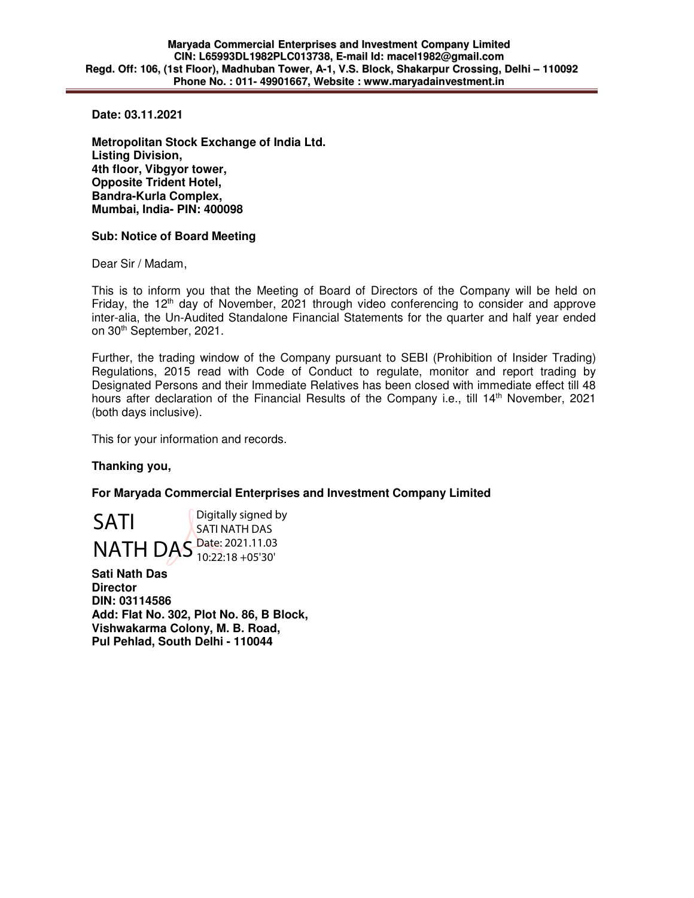**Date: 03.11.2021** 

**Metropolitan Stock Exchange of India Ltd. Listing Division, 4th floor, Vibgyor tower, Opposite Trident Hotel, Bandra-Kurla Complex, Mumbai, India- PIN: 400098** 

## **Sub: Notice of Board Meeting**

Dear Sir / Madam,

This is to inform you that the Meeting of Board of Directors of the Company will be held on Friday, the  $12<sup>th</sup>$  day of November, 2021 through video conferencing to consider and approve inter-alia, the Un-Audited Standalone Financial Statements for the quarter and half year ended on 30<sup>th</sup> September, 2021.

Further, the trading window of the Company pursuant to SEBI (Prohibition of Insider Trading) Regulations, 2015 read with Code of Conduct to regulate, monitor and report trading by Designated Persons and their Immediate Relatives has been closed with immediate effect till 48 hours after declaration of the Financial Results of the Company i.e., till 14<sup>th</sup> November, 2021 (both days inclusive).

This for your information and records.

## **Thanking you,**

**For Maryada Commercial Enterprises and Investment Company Limited** 

SATI NATH DAS Date: 2021.11.03 Digitally signed by SATI NATH DAS 10:22:18 +05'30'

**Sati Nath Das Director DIN: 03114586 Add: Flat No. 302, Plot No. 86, B Block, Vishwakarma Colony, M. B. Road, Pul Pehlad, South Delhi - 110044**